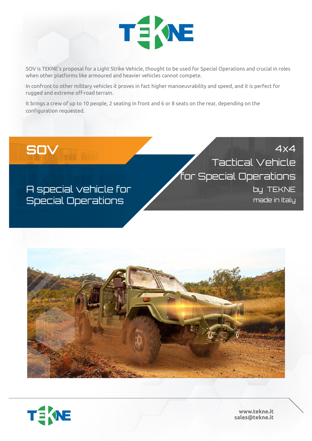

SOV is TEKNE's proposal for a Light Strike Vehicle, thought to be used for Special Operations and crucial in roles when other platforms like armoured and heavier vehicles cannot compete.

In confront to other military vehicles it proves in fact higher manoeuvrability and speed, and it is perfect for rugged and extreme off-road terrain.

It brings a crew of up to 10 people, 2 seating in front and 6 or 8 seats on the rear, depending on the configuration requested.

## **SOV** 4x4 Tactical Vehicle for Special Operations by TEKNE made in Italy

A special vehicle for Special Operations





**www.tekne.it sales@tekne.it**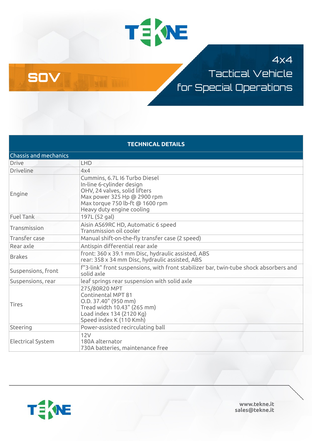

### 4x4

Tactical Vehicle for Special Operations

| <b>TECHNICAL DETAILS</b>     |                                                                                                                                                                                            |  |
|------------------------------|--------------------------------------------------------------------------------------------------------------------------------------------------------------------------------------------|--|
| <b>Chassis and mechanics</b> |                                                                                                                                                                                            |  |
| <b>Drive</b>                 | LHD                                                                                                                                                                                        |  |
| <b>Driveline</b>             | 4x4                                                                                                                                                                                        |  |
| Engine                       | Cummins, 6.7L I6 Turbo Diesel<br>In-line 6-cylinder design<br>OHV, 24 valves, solid lifters<br>Max power 325 Hp @ 2900 rpm<br>Max torque 750 lb-ft @ 1600 rpm<br>Heavy duty engine cooling |  |
| <b>Fuel Tank</b>             | 197L (52 gal)                                                                                                                                                                              |  |
| Transmission                 | Aisin AS69RC HD, Automatic 6 speed<br>Transmission oil cooler                                                                                                                              |  |
| Transfer case                | Manual shift-on-the-fly transfer case (2 speed)                                                                                                                                            |  |
| Rear axle                    | Antispin differential rear axle                                                                                                                                                            |  |
| <b>Brakes</b>                | front: 360 x 39.1 mm Disc, hydraulic assisted, ABS<br>rear: 358 x 34 mm Disc, hydraulic assisted, ABS                                                                                      |  |
| Suspensions, front           | f"3-link" front suspensions, with front stabilizer bar, twin-tube shock absorbers and<br>solid axle                                                                                        |  |
| Suspensions, rear            | leaf springs rear suspension with solid axle                                                                                                                                               |  |
| <b>Tires</b>                 | 275/80R20 MPT<br>Continental MPT 81<br>O.D. 37.40" (950 mm)<br>Tread width 10.43" (265 mm)<br>Load index 134 (2120 Kg)<br>Speed index K (110 Kmh)                                          |  |
| Steering                     | Power-assisted recirculating ball                                                                                                                                                          |  |
| <b>Electrical System</b>     | 12V<br>180A alternator<br>730A batteries, maintenance free                                                                                                                                 |  |



SOV

**www.tekne.it sales@tekne.it**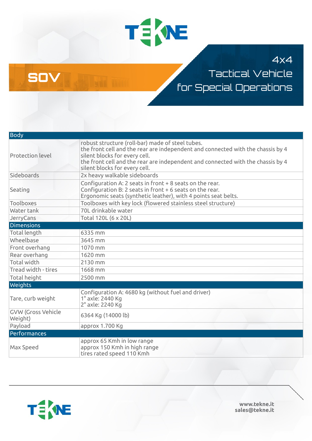

### 4x4

Tactical Vehicle for Special Operations

| <b>Body</b>                          |                                                                                                                                                                                                                                                                                          |
|--------------------------------------|------------------------------------------------------------------------------------------------------------------------------------------------------------------------------------------------------------------------------------------------------------------------------------------|
| <b>Protection level</b>              | robust structure (roll-bar) made of steel tubes.<br>the front cell and the rear are independent and connected with the chassis by 4<br>silent blocks for every cell.<br>the front cell and the rear are independent and connected with the chassis by 4<br>silent blocks for every cell. |
| Sideboards                           | 2x heavy walkable sideboards                                                                                                                                                                                                                                                             |
| Seating                              | Configuration A: 2 seats in front + 8 seats on the rear.<br>Configuration B: 2 seats in front + 6 seats on the rear.<br>Ergonomic seats (synthetic leather), with 4 points seat belts.                                                                                                   |
| <b>Toolboxes</b>                     | Toolboxes with key lock (flowered stainless steel structure)                                                                                                                                                                                                                             |
| Water tank                           | 70L drinkable water                                                                                                                                                                                                                                                                      |
| JerryCans                            | Total 120L (6 x 20L)                                                                                                                                                                                                                                                                     |
| <b>Dimensions</b>                    |                                                                                                                                                                                                                                                                                          |
| <b>Total length</b>                  | 6335 mm                                                                                                                                                                                                                                                                                  |
| Wheelbase                            | 3645 mm                                                                                                                                                                                                                                                                                  |
| Front overhang                       | 1070 mm                                                                                                                                                                                                                                                                                  |
| Rear overhang                        | 1620 mm                                                                                                                                                                                                                                                                                  |
| <b>Total width</b>                   | 2130 mm                                                                                                                                                                                                                                                                                  |
| Tread width - tires                  | 1668 mm                                                                                                                                                                                                                                                                                  |
| <b>Total height</b>                  | 2500 mm                                                                                                                                                                                                                                                                                  |
| Weights                              |                                                                                                                                                                                                                                                                                          |
| Tare, curb weight                    | Configuration A: 4680 kg (without fuel and driver)<br>1° axle: 2440 Kg<br>2° axle: 2240 Kg                                                                                                                                                                                               |
| <b>GVW (Gross Vehicle</b><br>Weight) | 6364 Kg (14000 lb)                                                                                                                                                                                                                                                                       |
| Payload                              | арргох 1.700 Кд                                                                                                                                                                                                                                                                          |
| Performances                         |                                                                                                                                                                                                                                                                                          |
| Max Speed                            | approx 65 Kmh in low range<br>approx 150 Kmh in high range<br>tires rated speed 110 Kmh                                                                                                                                                                                                  |



SOV

**www.tekne.it sales@tekne.it**